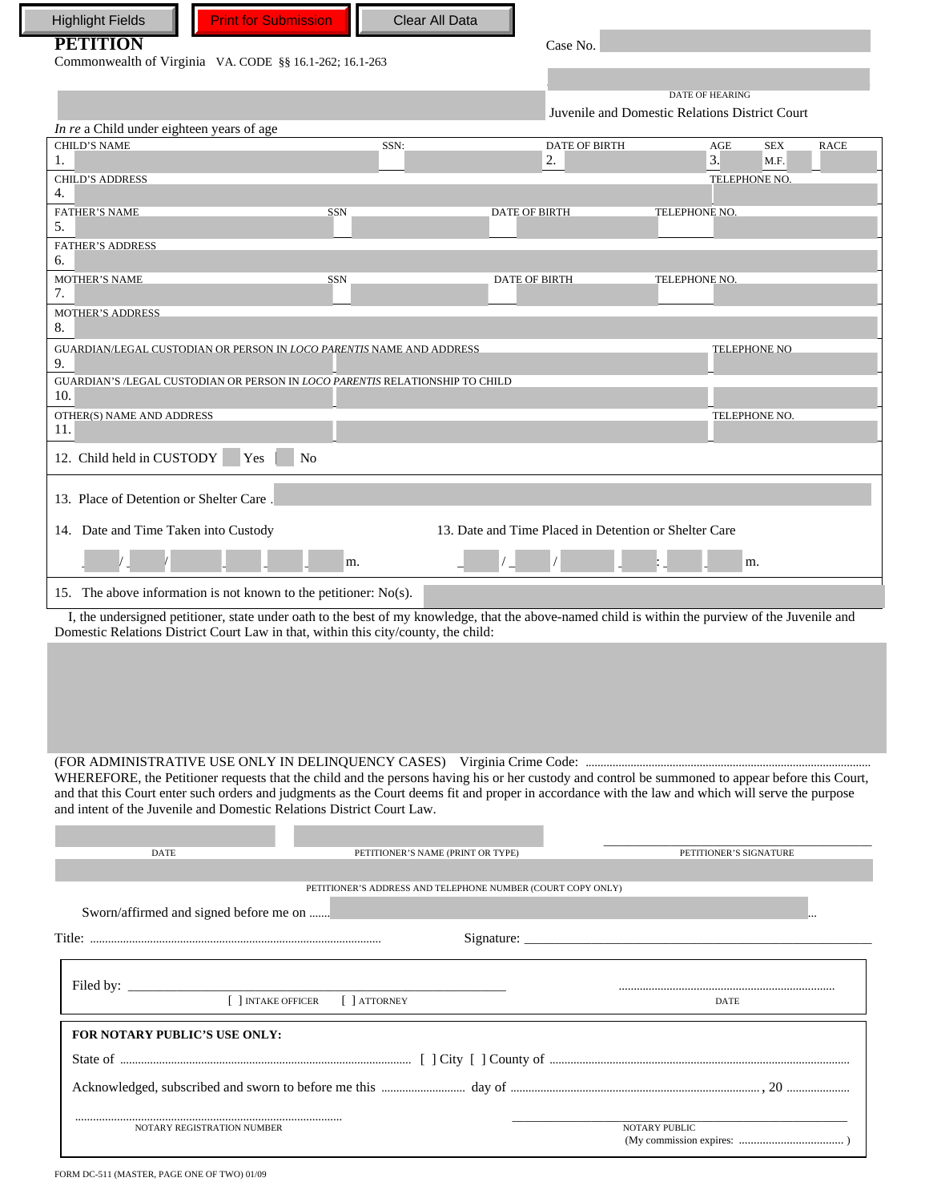| <b>PETITION</b>                                                                                                                                                                                                                         |                                                             |                                                       |                                                                          |
|-----------------------------------------------------------------------------------------------------------------------------------------------------------------------------------------------------------------------------------------|-------------------------------------------------------------|-------------------------------------------------------|--------------------------------------------------------------------------|
|                                                                                                                                                                                                                                         |                                                             | Case No.                                              |                                                                          |
| Commonwealth of Virginia VA. CODE §§ 16.1-262; 16.1-263                                                                                                                                                                                 |                                                             |                                                       |                                                                          |
|                                                                                                                                                                                                                                         |                                                             |                                                       | <b>DATE OF HEARING</b><br>Juvenile and Domestic Relations District Court |
| In re a Child under eighteen years of age                                                                                                                                                                                               |                                                             |                                                       |                                                                          |
| <b>CHILD'S NAME</b>                                                                                                                                                                                                                     | SSN:                                                        | <b>DATE OF BIRTH</b>                                  | AGE<br><b>SEX</b><br><b>RACE</b>                                         |
| 1.                                                                                                                                                                                                                                      |                                                             | 2.                                                    | 3.<br>M.F.                                                               |
| <b>CHILD'S ADDRESS</b><br>4.                                                                                                                                                                                                            |                                                             |                                                       | TELEPHONE NO.                                                            |
| <b>FATHER'S NAME</b>                                                                                                                                                                                                                    | <b>SSN</b>                                                  | <b>DATE OF BIRTH</b>                                  | TELEPHONE NO.                                                            |
| 5.<br><b>FATHER'S ADDRESS</b>                                                                                                                                                                                                           |                                                             |                                                       |                                                                          |
| 6.                                                                                                                                                                                                                                      |                                                             |                                                       |                                                                          |
| <b>MOTHER'S NAME</b><br>7.                                                                                                                                                                                                              | SSN                                                         | <b>DATE OF BIRTH</b>                                  | TELEPHONE NO.                                                            |
| <b>MOTHER'S ADDRESS</b><br>8.                                                                                                                                                                                                           |                                                             |                                                       |                                                                          |
| GUARDIAN/LEGAL CUSTODIAN OR PERSON IN LOCO PARENTIS NAME AND ADDRESS<br>9.                                                                                                                                                              |                                                             |                                                       | TELEPHONE NO                                                             |
| GUARDIAN'S /LEGAL CUSTODIAN OR PERSON IN LOCO PARENTIS RELATIONSHIP TO CHILD<br>10.                                                                                                                                                     |                                                             |                                                       |                                                                          |
| OTHER(S) NAME AND ADDRESS                                                                                                                                                                                                               |                                                             |                                                       | TELEPHONE NO.                                                            |
| 11.<br>12. Child held in CUSTODY<br>Yes                                                                                                                                                                                                 | N <sub>0</sub>                                              |                                                       |                                                                          |
|                                                                                                                                                                                                                                         |                                                             |                                                       |                                                                          |
| 13. Place of Detention or Shelter Care.                                                                                                                                                                                                 |                                                             |                                                       |                                                                          |
| 14. Date and Time Taken into Custody                                                                                                                                                                                                    |                                                             | 13. Date and Time Placed in Detention or Shelter Care |                                                                          |
|                                                                                                                                                                                                                                         | m.                                                          |                                                       | m.                                                                       |
| 15. The above information is not known to the petitioner: $No(s)$ .                                                                                                                                                                     |                                                             |                                                       |                                                                          |
| I, the undersigned petitioner, state under oath to the best of my knowledge, that the above-named child is within the purview of the Juvenile and<br>Domestic Relations District Court Law in that, within this city/county, the child: |                                                             |                                                       |                                                                          |
|                                                                                                                                                                                                                                         |                                                             |                                                       |                                                                          |
|                                                                                                                                                                                                                                         |                                                             |                                                       |                                                                          |
|                                                                                                                                                                                                                                         |                                                             |                                                       |                                                                          |
|                                                                                                                                                                                                                                         |                                                             |                                                       |                                                                          |
|                                                                                                                                                                                                                                         |                                                             |                                                       |                                                                          |
|                                                                                                                                                                                                                                         |                                                             |                                                       |                                                                          |
|                                                                                                                                                                                                                                         |                                                             |                                                       |                                                                          |
| WHEREFORE, the Petitioner requests that the child and the persons having his or her custody and control be summoned to appear before this Court,                                                                                        |                                                             |                                                       |                                                                          |
| and that this Court enter such orders and judgments as the Court deems fit and proper in accordance with the law and which will serve the purpose                                                                                       |                                                             |                                                       |                                                                          |
| and intent of the Juvenile and Domestic Relations District Court Law.                                                                                                                                                                   |                                                             |                                                       |                                                                          |
| <b>DATE</b>                                                                                                                                                                                                                             |                                                             |                                                       |                                                                          |
|                                                                                                                                                                                                                                         | PETITIONER'S NAME (PRINT OR TYPE)                           |                                                       | PETITIONER'S SIGNATURE                                                   |
|                                                                                                                                                                                                                                         | PETITIONER'S ADDRESS AND TELEPHONE NUMBER (COURT COPY ONLY) |                                                       |                                                                          |
| Sworn/affirmed and signed before me on                                                                                                                                                                                                  |                                                             |                                                       |                                                                          |
|                                                                                                                                                                                                                                         |                                                             |                                                       | Signature:                                                               |
|                                                                                                                                                                                                                                         |                                                             |                                                       |                                                                          |
|                                                                                                                                                                                                                                         |                                                             |                                                       |                                                                          |
|                                                                                                                                                                                                                                         | [ ] INTAKE OFFICER [ ] ATTORNEY                             |                                                       | DATE                                                                     |
| FOR NOTARY PUBLIC'S USE ONLY:                                                                                                                                                                                                           |                                                             |                                                       |                                                                          |
|                                                                                                                                                                                                                                         |                                                             |                                                       |                                                                          |
|                                                                                                                                                                                                                                         |                                                             |                                                       |                                                                          |
| NOTARY REGISTRATION NUMBER                                                                                                                                                                                                              |                                                             |                                                       | NOTARY PUBLIC                                                            |

 $\Box$